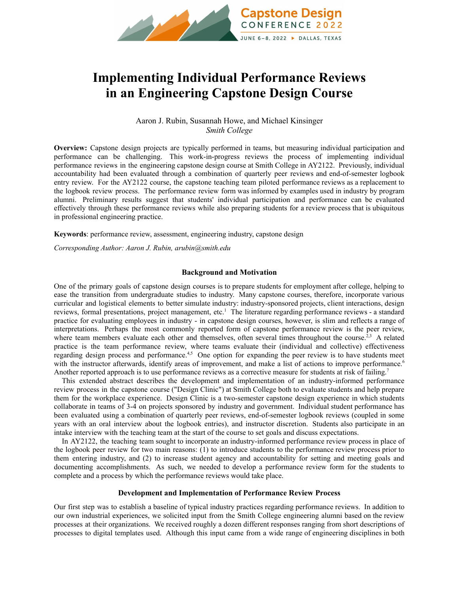

# **Implementing Individual Performance Reviews in an Engineering Capstone Design Course**

## Aaron J. Rubin, Susannah Howe, and Michael Kinsinger *Smith College*

**Overview:** Capstone design projects are typically performed in teams, but measuring individual participation and performance can be challenging. This work-in-progress reviews the process of implementing individual performance reviews in the engineering capstone design course at Smith College in AY2122. Previously, individual accountability had been evaluated through a combination of quarterly peer reviews and end-of-semester logbook entry review. For the AY2122 course, the capstone teaching team piloted performance reviews as a replacement to the logbook review process. The performance review form was informed by examples used in industry by program alumni. Preliminary results suggest that students' individual participation and performance can be evaluated effectively through these performance reviews while also preparing students for a review process that is ubiquitous in professional engineering practice.

**Keywords**: performance review, assessment, engineering industry, capstone design

*Corresponding Author: Aaron J. Rubin, arubin@smith.edu*

## **Background and Motivation**

One of the primary goals of capstone design courses is to prepare students for employment after college, helping to ease the transition from undergraduate studies to industry. Many capstone courses, therefore, incorporate various curricular and logistical elements to better simulate industry: industry-sponsored projects, client interactions, design reviews, formal presentations, project management, etc.<sup>1</sup> The literature regarding performance reviews - a standard practice for evaluating employees in industry - in capstone design courses, however, is slim and reflects a range of interpretations. Perhaps the most commonly reported form of capstone performance review is the peer review, where team members evaluate each other and themselves, often several times throughout the course.<sup>2,3</sup> A related practice is the team performance review, where teams evaluate their (individual and collective) effectiveness regarding design process and performance.<sup>4,5</sup> One option for expanding the peer review is to have students meet with the instructor afterwards, identify areas of improvement, and make a list of actions to improve performance.<sup>6</sup> Another reported approach is to use performance reviews as a corrective measure for students at risk of failing.<sup>7</sup>

This extended abstract describes the development and implementation of an industry-informed performance review process in the capstone course ("Design Clinic") at Smith College both to evaluate students and help prepare them for the workplace experience. Design Clinic is a two-semester capstone design experience in which students collaborate in teams of 3-4 on projects sponsored by industry and government. Individual student performance has been evaluated using a combination of quarterly peer reviews, end-of-semester logbook reviews (coupled in some years with an oral interview about the logbook entries), and instructor discretion. Students also participate in an intake interview with the teaching team at the start of the course to set goals and discuss expectations.

In AY2122, the teaching team sought to incorporate an industry-informed performance review process in place of the logbook peer review for two main reasons: (1) to introduce students to the performance review process prior to them entering industry, and (2) to increase student agency and accountability for setting and meeting goals and documenting accomplishments. As such, we needed to develop a performance review form for the students to complete and a process by which the performance reviews would take place.

## **Development and Implementation of Performance Review Process**

Our first step was to establish a baseline of typical industry practices regarding performance reviews. In addition to our own industrial experiences, we solicited input from the Smith College engineering alumni based on the review processes at their organizations. We received roughly a dozen different responses ranging from short descriptions of processes to digital templates used. Although this input came from a wide range of engineering disciplines in both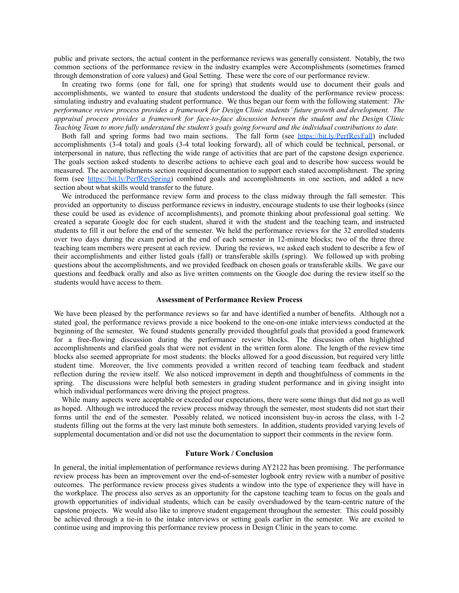public and private sectors, the actual content in the performance reviews was generally consistent. Notably, the two common sections of the performance review in the industry examples were Accomplishments (sometimes framed through demonstration of core values) and Goal Setting. These were the core of our performance review.

In creating two forms (one for fall, one for spring) that students would use to document their goals and accomplishments, we wanted to ensure that students understood the duality of the performance review process: simulating industry and evaluating student performance. We thus began our form with the following statement: *The performance review process provides a framework for Design Clinic students' future growth and development. The appraisal process provides a framework for face-to-face discussion between the student and the Design Clinic* Teaching Team to more fully understand the student's goals going forward and the individual contributions to date.

Both fall and spring forms had two main sections. The fall form (see <https://bit.ly/PerfRevFall>) included accomplishments (3-4 total) and goals (3-4 total looking forward), all of which could be technical, personal, or interpersonal in nature, thus reflecting the wide range of activities that are part of the capstone design experience. The goals section asked students to describe actions to achieve each goal and to describe how success would be measured. The accomplishments section required documentation to support each stated accomplishment. The spring form (see [https://bit.ly/PerfRevSpring\)](https://bit.ly/PerfRevSpring) combined goals and accomplishments in one section, and added a new section about what skills would transfer to the future.

We introduced the performance review form and process to the class midway through the fall semester. This provided an opportunity to discuss performance reviews in industry, encourage students to use their logbooks (since these could be used as evidence of accomplishments), and promote thinking about professional goal setting. We created a separate Google doc for each student, shared it with the student and the teaching team, and instructed students to fill it out before the end of the semester. We held the performance reviews for the 32 enrolled students over two days during the exam period at the end of each semester in 12-minute blocks; two of the three three teaching team members were present at each review. During the reviews, we asked each student to describe a few of their accomplishments and either listed goals (fall) or transferable skills (spring). We followed up with probing questions about the accomplishments, and we provided feedback on chosen goals or transferable skills. We gave our questions and feedback orally and also as live written comments on the Google doc during the review itself so the students would have access to them.

#### **Assessment of Performance Review Process**

We have been pleased by the performance reviews so far and have identified a number of benefits. Although not a stated goal, the performance reviews provide a nice bookend to the one-on-one intake interviews conducted at the beginning of the semester. We found students generally provided thoughtful goals that provided a good framework for a free-flowing discussion during the performance review blocks. The discussion often highlighted accomplishments and clarified goals that were not evident in the written form alone. The length of the review time blocks also seemed appropriate for most students: the blocks allowed for a good discussion, but required very little student time. Moreover, the live comments provided a written record of teaching team feedback and student reflection during the review itself. We also noticed improvement in depth and thoughtfulness of comments in the spring. The discussions were helpful both semesters in grading student performance and in giving insight into which individual performances were driving the project progress.

While many aspects were acceptable or exceeded our expectations, there were some things that did not go as well as hoped. Although we introduced the review process midway through the semester, most students did not start their forms until the end of the semester. Possibly related, we noticed inconsistent buy-in across the class, with 1-2 students filling out the forms at the very last minute both semesters. In addition, students provided varying levels of supplemental documentation and/or did not use the documentation to support their comments in the review form.

### **Future Work / Conclusion**

In general, the initial implementation of performance reviews during AY2122 has been promising. The performance review process has been an improvement over the end-of-semester logbook entry review with a number of positive outcomes. The performance review process gives students a window into the type of experience they will have in the workplace. The process also serves as an opportunity for the capstone teaching team to focus on the goals and growth opportunities of individual students, which can be easily overshadowed by the team-centric nature of the capstone projects. We would also like to improve student engagement throughout the semester. This could possibly be achieved through a tie-in to the intake interviews or setting goals earlier in the semester. We are excited to continue using and improving this performance review process in Design Clinic in the years to come.